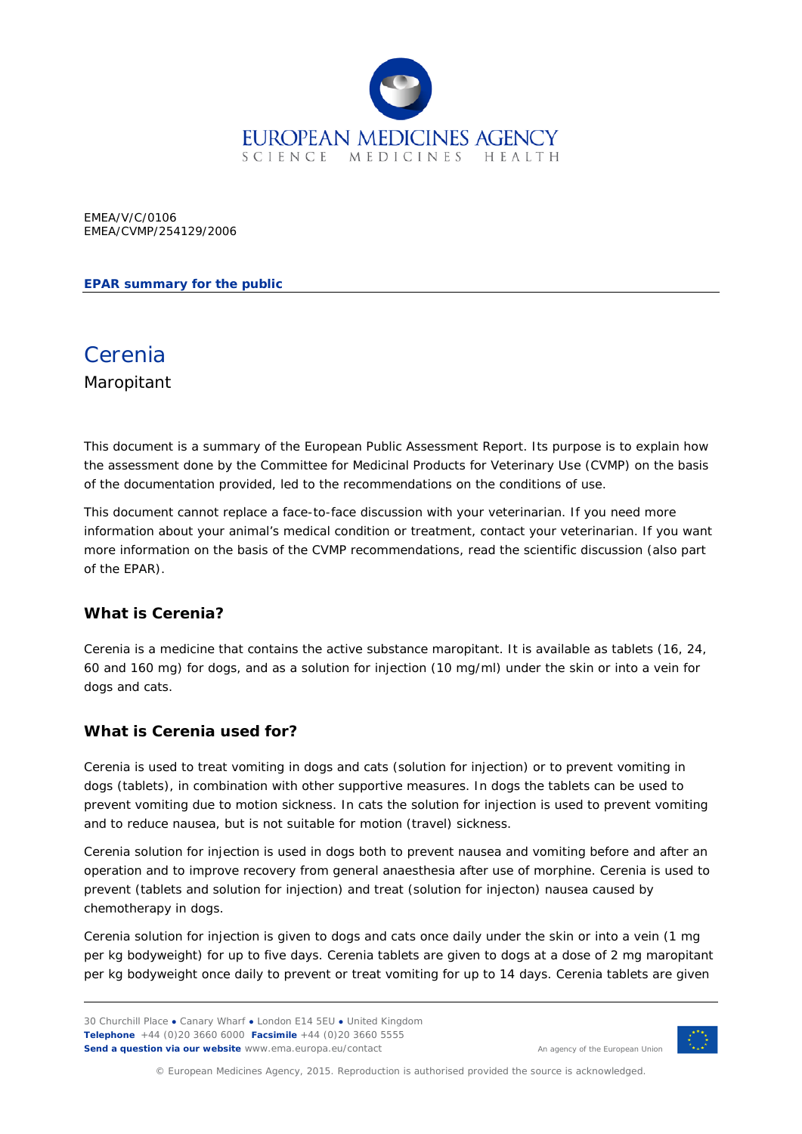

EMEA/V/C/0106 EMEA/CVMP/254129/2006

#### **EPAR summary for the public**

# Cerenia Maropitant

This document is a summary of the European Public Assessment Report. Its purpose is to explain how the assessment done by the Committee for Medicinal Products for Veterinary Use (CVMP) on the basis of the documentation provided, led to the recommendations on the conditions of use.

This document cannot replace a face-to-face discussion with your veterinarian. If you need more information about your animal's medical condition or treatment, contact your veterinarian. If you want more information on the basis of the CVMP recommendations, read the scientific discussion (also part of the EPAR).

## **What is Cerenia?**

Cerenia is a medicine that contains the active substance maropitant. It is available as tablets (16, 24, 60 and 160 mg) for dogs, and as a solution for injection (10 mg/ml) under the skin or into a vein for dogs and cats.

#### **What is Cerenia used for?**

Cerenia is used to treat vomiting in dogs and cats (solution for injection) or to prevent vomiting in dogs (tablets), in combination with other supportive measures. In dogs the tablets can be used to prevent vomiting due to motion sickness. In cats the solution for injection is used to prevent vomiting and to reduce nausea, but is not suitable for motion (travel) sickness.

Cerenia solution for injection is used in dogs both to prevent nausea and vomiting before and after an operation and to improve recovery from general anaesthesia after use of morphine. Cerenia is used to prevent (tablets and solution for injection) and treat (solution for injecton) nausea caused by chemotherapy in dogs.

Cerenia solution for injection is given to dogs and cats once daily under the skin or into a vein (1 mg per kg bodyweight) for up to five days. Cerenia tablets are given to dogs at a dose of 2 mg maropitant per kg bodyweight once daily to prevent or treat vomiting for up to 14 days. Cerenia tablets are given



An agency of the European Union

© European Medicines Agency, 2015. Reproduction is authorised provided the source is acknowledged.

<sup>30</sup> Churchill Place **●** Canary Wharf **●** London E14 5EU **●** United Kingdom **Telephone** +44 (0)20 3660 6000 **Facsimile** +44 (0)20 3660 5555 **Send a question via our website** www.ema.europa.eu/contact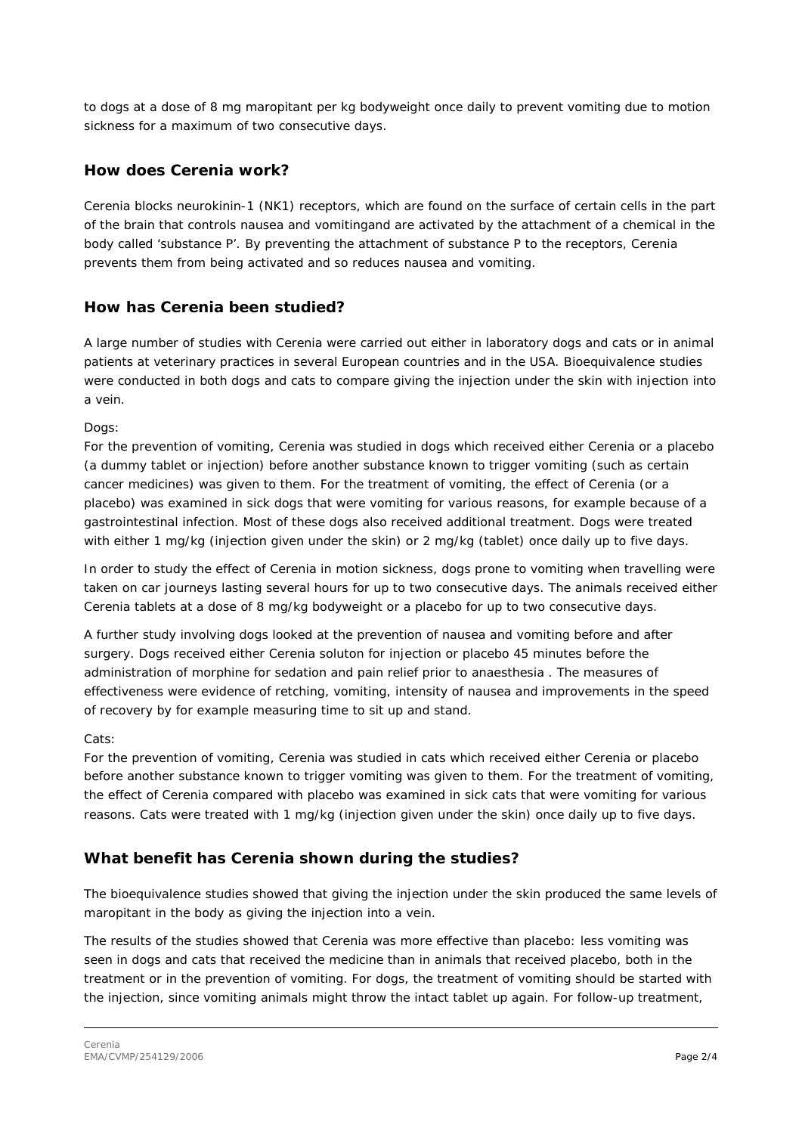to dogs at a dose of 8 mg maropitant per kg bodyweight once daily to prevent vomiting due to motion sickness for a maximum of two consecutive days.

# **How does Cerenia work?**

Cerenia blocks neurokinin-1 (NK1) receptors, which are found on the surface of certain cells in the part of the brain that controls nausea and vomitingand are activated by the attachment of a chemical in the body called 'substance P'. By preventing the attachment of substance P to the receptors, Cerenia prevents them from being activated and so reduces nausea and vomiting.

## **How has Cerenia been studied?**

A large number of studies with Cerenia were carried out either in laboratory dogs and cats or in animal patients at veterinary practices in several European countries and in the USA. Bioequivalence studies were conducted in both dogs and cats to compare giving the injection under the skin with injection into a vein.

Dogs:

For the prevention of vomiting, Cerenia was studied in dogs which received either Cerenia or a placebo (a dummy tablet or injection) before another substance known to trigger vomiting (such as certain cancer medicines) was given to them. For the treatment of vomiting, the effect of Cerenia (or a placebo) was examined in sick dogs that were vomiting for various reasons, for example because of a gastrointestinal infection. Most of these dogs also received additional treatment. Dogs were treated with either 1 mg/kg (injection given under the skin) or 2 mg/kg (tablet) once daily up to five days.

In order to study the effect of Cerenia in motion sickness, dogs prone to vomiting when travelling were taken on car journeys lasting several hours for up to two consecutive days. The animals received either Cerenia tablets at a dose of 8 mg/kg bodyweight or a placebo for up to two consecutive days.

A further study involving dogs looked at the prevention of nausea and vomiting before and after surgery. Dogs received either Cerenia soluton for injection or placebo 45 minutes before the administration of morphine for sedation and pain relief prior to anaesthesia . The measures of effectiveness were evidence of retching, vomiting, intensity of nausea and improvements in the speed of recovery by for example measuring time to sit up and stand.

#### Cats:

For the prevention of vomiting, Cerenia was studied in cats which received either Cerenia or placebo before another substance known to trigger vomiting was given to them. For the treatment of vomiting, the effect of Cerenia compared with placebo was examined in sick cats that were vomiting for various reasons. Cats were treated with 1 mg/kg (injection given under the skin) once daily up to five days.

## **What benefit has Cerenia shown during the studies?**

The bioequivalence studies showed that giving the injection under the skin produced the same levels of maropitant in the body as giving the injection into a vein.

The results of the studies showed that Cerenia was more effective than placebo: less vomiting was seen in dogs and cats that received the medicine than in animals that received placebo, both in the treatment or in the prevention of vomiting. For dogs, the treatment of vomiting should be started with the injection, since vomiting animals might throw the intact tablet up again. For follow-up treatment,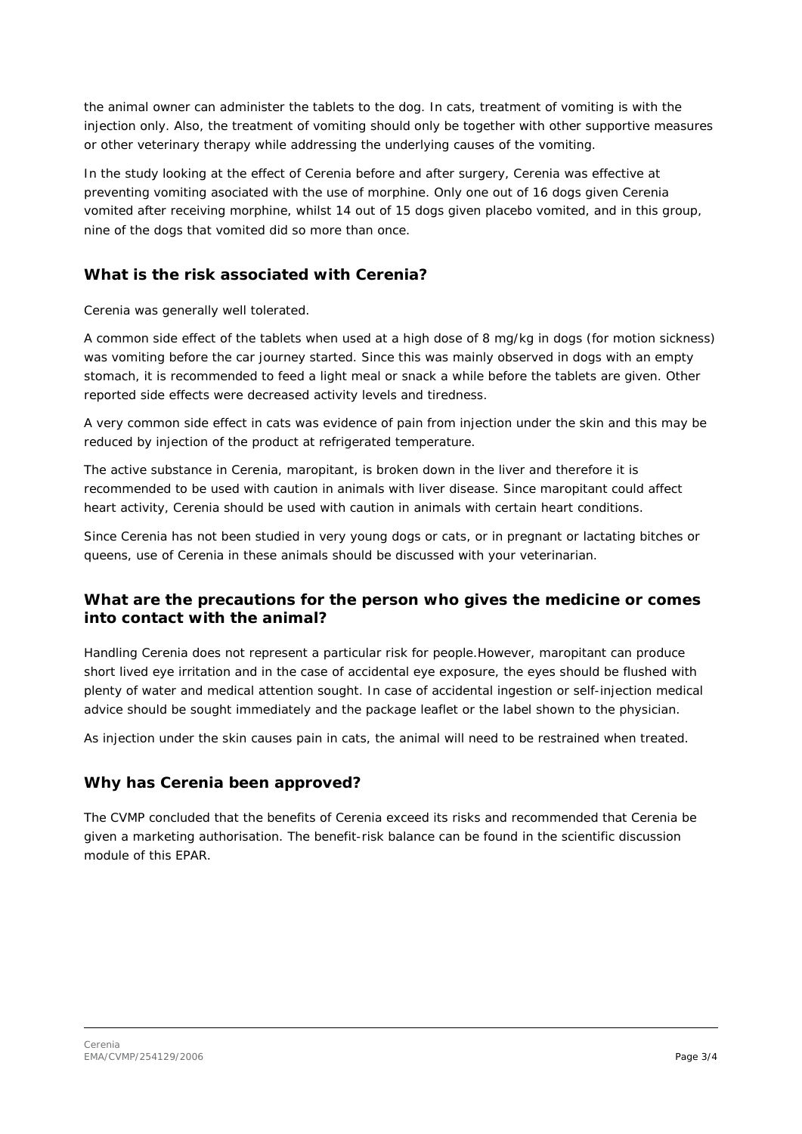the animal owner can administer the tablets to the dog. In cats, treatment of vomiting is with the injection only. Also, the treatment of vomiting should only be together with other supportive measures or other veterinary therapy while addressing the underlying causes of the vomiting.

In the study looking at the effect of Cerenia before and after surgery, Cerenia was effective at preventing vomiting asociated with the use of morphine. Only one out of 16 dogs given Cerenia vomited after receiving morphine, whilst 14 out of 15 dogs given placebo vomited, and in this group, nine of the dogs that vomited did so more than once.

# **What is the risk associated with Cerenia?**

Cerenia was generally well tolerated.

A common side effect of the tablets when used at a high dose of 8 mg/kg in dogs (for motion sickness) was vomiting before the car journey started. Since this was mainly observed in dogs with an empty stomach, it is recommended to feed a light meal or snack a while before the tablets are given. Other reported side effects were decreased activity levels and tiredness.

A very common side effect in cats was evidence of pain from injection under the skin and this may be reduced by injection of the product at refrigerated temperature.

The active substance in Cerenia, maropitant, is broken down in the liver and therefore it is recommended to be used with caution in animals with liver disease. Since maropitant could affect heart activity, Cerenia should be used with caution in animals with certain heart conditions.

Since Cerenia has not been studied in very young dogs or cats, or in pregnant or lactating bitches or queens, use of Cerenia in these animals should be discussed with your veterinarian.

# **What are the precautions for the person who gives the medicine or comes into contact with the animal?**

Handling Cerenia does not represent a particular risk for people.However, maropitant can produce short lived eye irritation and in the case of accidental eye exposure, the eyes should be flushed with plenty of water and medical attention sought. In case of accidental ingestion or self-injection medical advice should be sought immediately and the package leaflet or the label shown to the physician.

As injection under the skin causes pain in cats, the animal will need to be restrained when treated.

## **Why has Cerenia been approved?**

The CVMP concluded that the benefits of Cerenia exceed its risks and recommended that Cerenia be given a marketing authorisation. The benefit-risk balance can be found in the scientific discussion module of this EPAR.